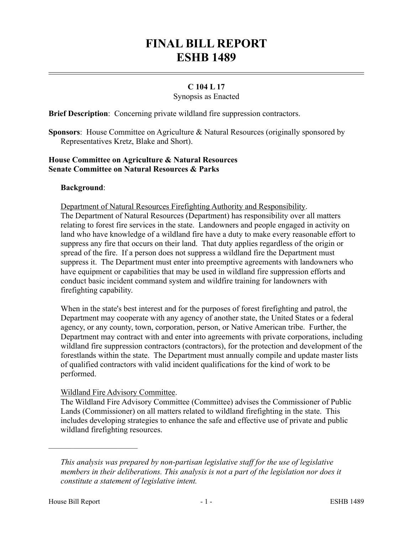# **FINAL BILL REPORT ESHB 1489**

## **C 104 L 17**

#### Synopsis as Enacted

**Brief Description**: Concerning private wildland fire suppression contractors.

**Sponsors**: House Committee on Agriculture & Natural Resources (originally sponsored by Representatives Kretz, Blake and Short).

## **House Committee on Agriculture & Natural Resources Senate Committee on Natural Resources & Parks**

### **Background**:

Department of Natural Resources Firefighting Authority and Responsibility.

The Department of Natural Resources (Department) has responsibility over all matters relating to forest fire services in the state. Landowners and people engaged in activity on land who have knowledge of a wildland fire have a duty to make every reasonable effort to suppress any fire that occurs on their land. That duty applies regardless of the origin or spread of the fire. If a person does not suppress a wildland fire the Department must suppress it. The Department must enter into preemptive agreements with landowners who have equipment or capabilities that may be used in wildland fire suppression efforts and conduct basic incident command system and wildfire training for landowners with firefighting capability.

When in the state's best interest and for the purposes of forest firefighting and patrol, the Department may cooperate with any agency of another state, the United States or a federal agency, or any county, town, corporation, person, or Native American tribe. Further, the Department may contract with and enter into agreements with private corporations, including wildland fire suppression contractors (contractors), for the protection and development of the forestlands within the state. The Department must annually compile and update master lists of qualified contractors with valid incident qualifications for the kind of work to be performed.

## Wildland Fire Advisory Committee.

The Wildland Fire Advisory Committee (Committee) advises the Commissioner of Public Lands (Commissioner) on all matters related to wildland firefighting in the state. This includes developing strategies to enhance the safe and effective use of private and public wildland firefighting resources.

––––––––––––––––––––––

*This analysis was prepared by non-partisan legislative staff for the use of legislative members in their deliberations. This analysis is not a part of the legislation nor does it constitute a statement of legislative intent.*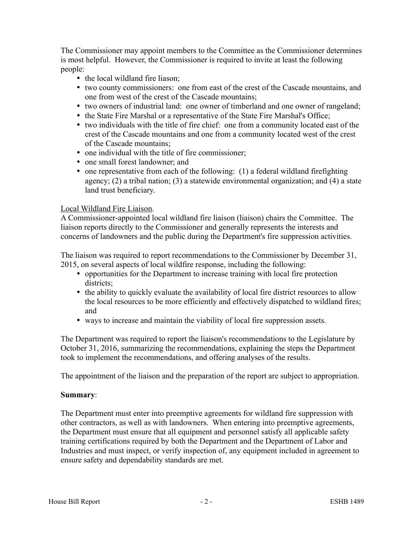The Commissioner may appoint members to the Committee as the Commissioner determines is most helpful. However, the Commissioner is required to invite at least the following people:

- the local wildland fire liason;
- two county commissioners: one from east of the crest of the Cascade mountains, and one from west of the crest of the Cascade mountains;
- two owners of industrial land: one owner of timberland and one owner of rangeland;
- the State Fire Marshal or a representative of the State Fire Marshal's Office;
- two individuals with the title of fire chief: one from a community located east of the crest of the Cascade mountains and one from a community located west of the crest of the Cascade mountains;
- one individual with the title of fire commissioner;
- one small forest landowner; and
- one representative from each of the following: (1) a federal wildland firefighting agency; (2) a tribal nation; (3) a statewide environmental organization; and (4) a state land trust beneficiary.

## Local Wildland Fire Liaison.

A Commissioner-appointed local wildland fire liaison (liaison) chairs the Committee. The liaison reports directly to the Commissioner and generally represents the interests and concerns of landowners and the public during the Department's fire suppression activities.

The liaison was required to report recommendations to the Commissioner by December 31, 2015, on several aspects of local wildfire response, including the following:

- opportunities for the Department to increase training with local fire protection districts;
- the ability to quickly evaluate the availability of local fire district resources to allow the local resources to be more efficiently and effectively dispatched to wildland fires; and
- ways to increase and maintain the viability of local fire suppression assets.

The Department was required to report the liaison's recommendations to the Legislature by October 31, 2016, summarizing the recommendations, explaining the steps the Department took to implement the recommendations, and offering analyses of the results.

The appointment of the liaison and the preparation of the report are subject to appropriation.

## **Summary**:

The Department must enter into preemptive agreements for wildland fire suppression with other contractors, as well as with landowners. When entering into preemptive agreements, the Department must ensure that all equipment and personnel satisfy all applicable safety training certifications required by both the Department and the Department of Labor and Industries and must inspect, or verify inspection of, any equipment included in agreement to ensure safety and dependability standards are met.